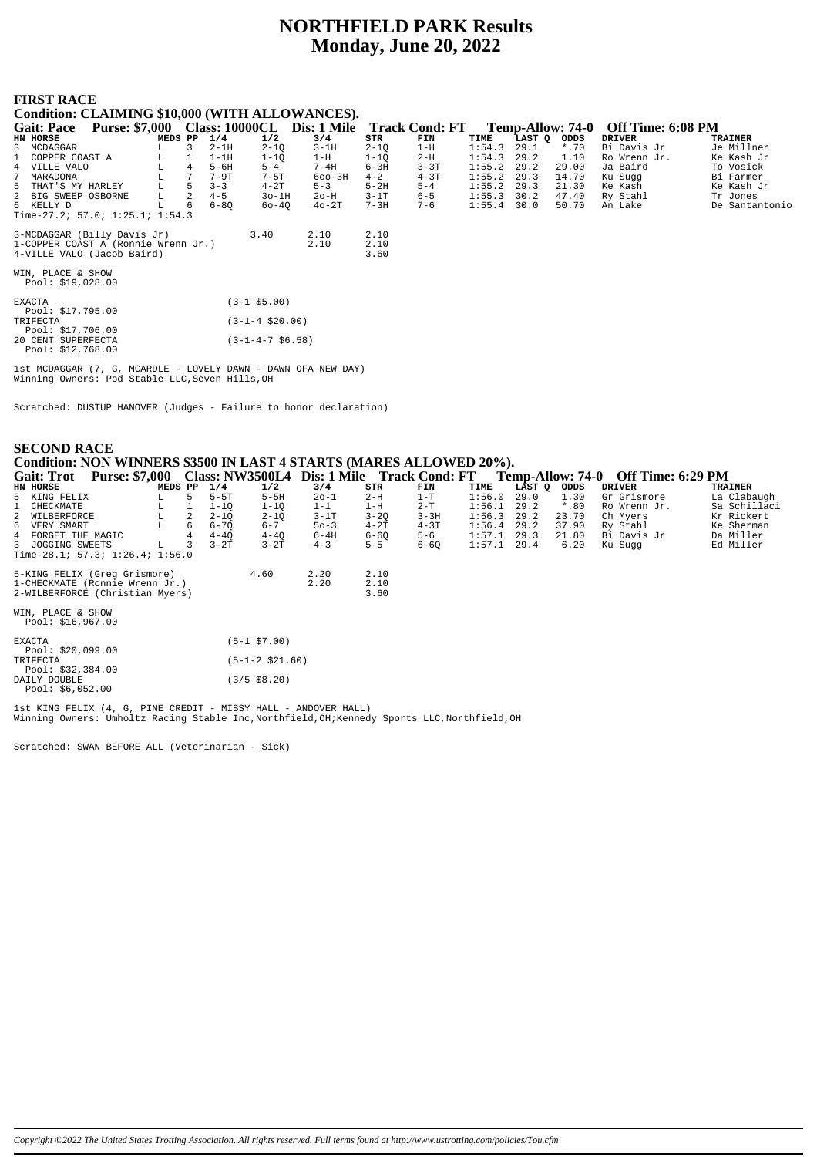# **NORTHFIELD PARK Results Monday, June 20, 2022**

#### **FIRST RACE**

## **Condition: CLAIMING \$10,000 (WITH ALLOWANCES).**

| <b>Gait: Pace</b>               | <b>Purse: \$7,000</b> |         |    | <b>Class: 10000CL</b> |               | Dis: 1 Mile   |               | <b>Track Cond: FT</b> |               | Temp-Allow: 74-0 | Off Time: 6:08 PM |                |
|---------------------------------|-----------------------|---------|----|-----------------------|---------------|---------------|---------------|-----------------------|---------------|------------------|-------------------|----------------|
| HN HORSE                        |                       | MEDS PP |    | 1/4                   | 1/2           | 3/4           | STR           | FIN                   | TIME          | LAST O<br>ODDS   | DRIVER            | <b>TRAINER</b> |
| 3 MCDAGGAR                      |                       | L.      |    | 2-1H                  | $2 - 10$      | 3-1H          | $2 - 10$      | 1-H                   | 1:54.3        | $*$ .70<br>29.1  | Bi Davis Jr       | Je Millner     |
| 1 COPPER COAST A                |                       | L       |    | $1-1H$                | 1-10          | 1-H           | $1 - 10$      | $2-H$                 | 1:54.3        | 29.2<br>1.10     | Ro Wrenn Jr.      | Ke Kash Jr     |
| 4 VILLE VALO                    |                       |         | 4  | $5 - 6H$              | $5 - 4$       | $7-4H$        | $6 - 3H$      | $3 - 3T$              | 1:55.2        | 29.00<br>29.2    | Ja Baird          | To Vosick      |
| 7 MARADONA                      |                       |         |    | $7 - 9T$              | $7 - 5T$      | $600-3H$      | $4 - 2$       | $4 - 3T$              | 1:55.2        | 14.70<br>29.3    | Ku Suaa           | Bi Farmer      |
| 5 THAT'S MY HARLEY              |                       | т.      |    | $3 - 3$               | $4 - 2T$      | $5 - 3$       | $5 - 2H$      | $5 - 4$               | 1:55.2        | 21.30<br>29.3    | Ke Kash           | Ke Kash Jr     |
| 2 BIG SWEEP OSBORNE             |                       |         |    | $4 - 5$               | $3o-1H$       | $2o-H$        | $3 - 1T$      | $6 - 5$               | $1:55.3$ 30.2 | 47.40            | Ry Stahl          | Tr Jones       |
| 6 KELLY D                       |                       | T.      | -6 | $6 - 80$              | 60-40         | $40-2T$       | $7 - 3H$      | $7 - 6$               | $1:55.4$ 30.0 | 50.70            | An Lake           | De Santantonio |
| Time-27.2; 57.0; 1:25.1; 1:54.3 |                       |         |    |                       |               |               |               |                       |               |                  |                   |                |
|                                 |                       |         |    |                       | $\sim$ $\sim$ | $\sim$ $\sim$ | $\sim$ $\sim$ |                       |               |                  |                   |                |

3-MCDAGGAR (Billy Davis Jr) 3.40 2.10 2.10 1-COPPER COAST A (Ronnie Wrenn Jr.) 2.10 2.10 3-MCDAGGAR (Billy Davis Jr) 3.40 2.10 2.10<br>1-COPPER COAST A (Ronnie Wrenn Jr.) 2.10 2.10<br>4-VILLE VALO (Jacob Baird)

WIN, PLACE & SHOW Pool: \$19,028.00

| <b>EXACTA</b>      | $(3-1$ \$5.00)            |
|--------------------|---------------------------|
| Pool: \$17,795.00  |                           |
| TRIFECTA           | $(3-1-4 \ $20.00)$        |
| Pool: \$17,706.00  |                           |
| 20 CENT SUPERFECTA | $(3-1-4-7 \text{ }56.58)$ |
| Pool: $$12,768.00$ |                           |

1st MCDAGGAR (7, G, MCARDLE - LOVELY DAWN - DAWN OFA NEW DAY) Winning Owners: Pod Stable LLC,Seven Hills,OH

Scratched: DUSTUP HANOVER (Judges - Failure to honor declaration)

# **SECOND RACE Condition: NON WINNERS \$3500 IN LAST 4 STARTS (MARES ALLOWED 20%). Gait: Trot** Purse: \$7,000 Class: NW3500L4 Dis: 1 Mile Track Cond: FT Temp-Allow: 74-0 Off Time: 6:29 PM<br>
EN HORSE MEDS PP 1/4 1/2 3/4 STR FINE LAST Q ODDS DRIVER TRAINER<br>
5 KING FELIX L 5 5-5T 5-5H 20-1 2-H 1-T 1:56.0 29 % VERY SMART L 6 6-70 6-7 50-3 4-2T 4-3T 1:56.4 29.2 37.90 Ry Stahl Ke Sherman<br>4 4-40 4-40 6-4H 6-60 5-6 1:57.1 29.3 21.80 Bi Davis Jr Da Miller<br>3 JOGGING SWEETS L 3 3-2T 3-2T 4-3 5-5 6-60 1:57.1 29.4 6.20 Ku Sugg Bd Mille 5-KING FELIX (Greg Grismore) 4.60 2.20 2.10 1-CHECKMATE (Ronnie Wrenn Jr.) 2.20 2.10 1-CHECKMATE (Ronnie Wrenn Jr.) <br>2.20 2.10<br>2-WILBERFORCE (Christian Myers) 3.60 WIN, PLACE & SHOW Pool: \$16,967.00 EXACTA (5-1 \$7.00) Pool: \$20,099.00 TRIFECTA (5-1-2 \$21.60)

| POOI, SZU,UYY.UU   |                            |
|--------------------|----------------------------|
| TR T F F.C.TA      | $(5 - 1 - 2 \cdot $21.60)$ |
| Pool: $$32,384.00$ |                            |
| DAILY DOUBLE       | $(3/5$ \$8.20)             |
| Pool: $$6,052.00$  |                            |

1st KING FELIX (4, G, PINE CREDIT - MISSY HALL - ANDOVER HALL) Winning Owners: Umholtz Racing Stable Inc,Northfield,OH;Kennedy Sports LLC,Northfield,OH

Scratched: SWAN BEFORE ALL (Veterinarian - Sick)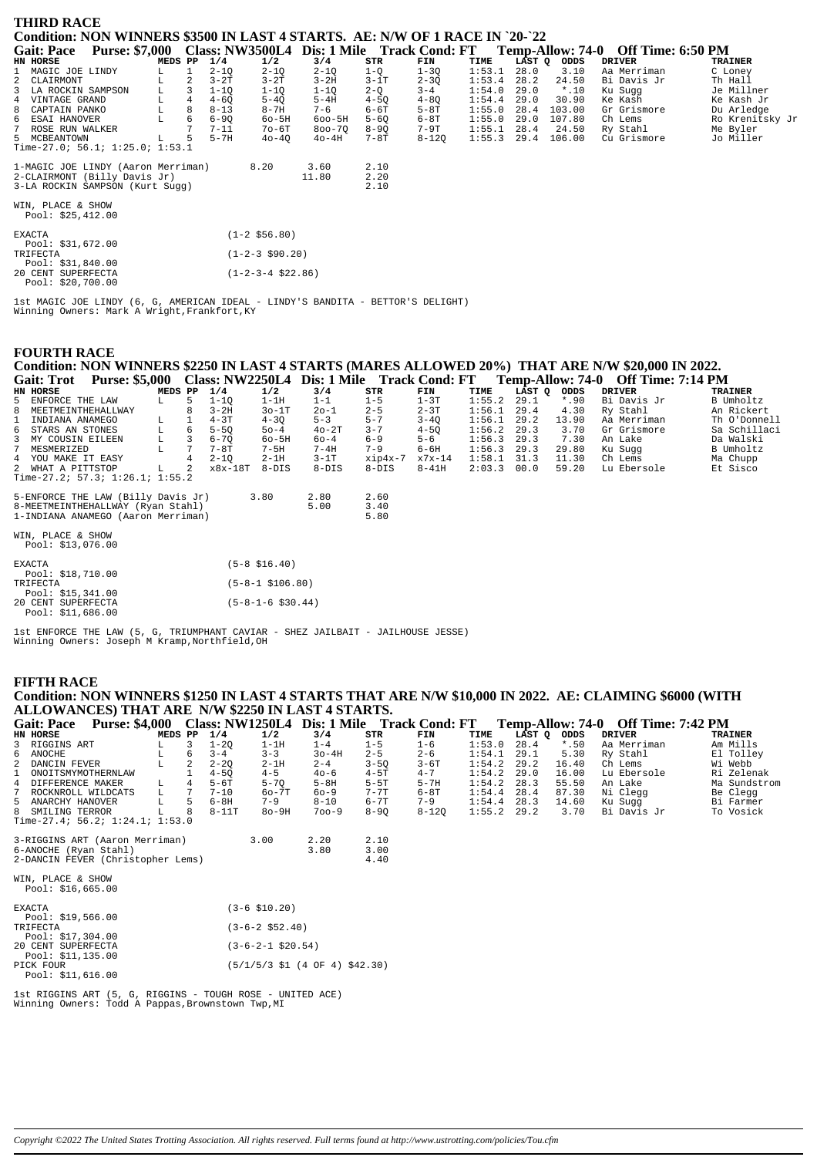| <b>THIRD RACE</b>                                                            |                    |              |          |                      |            |          |           |        |        |             |                                                                                              |                 |
|------------------------------------------------------------------------------|--------------------|--------------|----------|----------------------|------------|----------|-----------|--------|--------|-------------|----------------------------------------------------------------------------------------------|-----------------|
| Condition: NON WINNERS \$3500 IN LAST 4 STARTS. AE: N/W OF 1 RACE IN `20-`22 |                    |              |          |                      |            |          |           |        |        |             |                                                                                              |                 |
| <b>Gait: Pace</b>                                                            |                    |              |          |                      |            |          |           |        |        |             | Purse: \$7,000 Class: NW3500L4 Dis: 1 Mile Track Cond: FT Temp-Allow: 74-0 Off Time: 6:50 PM |                 |
| HN HORSE                                                                     | MEDS PP            |              | 1/4      | 1/2                  | 3/4        | STR      | FIN       | TIME   | LAST Q | ODDS        | <b>DRIVER</b>                                                                                | <b>TRAINER</b>  |
| 1 MAGIC JOE LINDY                                                            | L.                 | $\mathbf{1}$ | $2-1Q$   | $2 - 1Q$             | $2 - 1Q$   | $1-Q$    | $1 - 3Q$  | 1:53.1 | 28.0   | 3.10        | Aa Merriman                                                                                  | C Loney         |
| 2 CLAIRMONT                                                                  | L                  | 2            | $3-2T$   | $3-2T$               | $3-2H$     | $3-1T$   | $2 - 3Q$  | 1:53.4 | 28.2   | 24.50       | Bi Davis Jr                                                                                  | Th Hall         |
| 3 LA ROCKIN SAMPSON                                                          | L                  |              | $1 - 10$ | $1 - 1Q$             | $1 - 10$   | $2 - Q$  | $3 - 4$   | 1:54.0 | 29.0   | $*$ .10     | Ku Sugg                                                                                      | Je Millner      |
| 4 VINTAGE GRAND                                                              | L                  |              | $4 - 60$ | $5 - 4Q$             | $5-4H$     | $4 - 5Q$ | $4 - 80$  | 1:54.4 | 29.0   | 30.90       | Ke Kash                                                                                      | Ke Kash Jr      |
| 8 CAPTAIN PANKO                                                              | $^{\rm L}_{\rm L}$ | 8            | $8 - 13$ | $8 - 7H$             | $7 - 6$    | $6-6T$   | $5-8T$    | 1:55.0 | 28.4   | 103.00      | Gr Grismore                                                                                  | Du Arledge      |
| 6 ESAI HANOVER                                                               |                    | 6            | $6-9Q$   | $60 - 5H$            | $600 - 5H$ | $5 - 6Q$ | $6-8T$    | 1:55.0 | 29.0   | 107.80      | Ch Lems                                                                                      | Ro Krenitsky Jr |
| 7 ROSE RUN WALKER                                                            |                    |              | 7-11     | $7o-6T$              | 800-70     | $8-9Q$   | 7-9T      | 1:55.1 | 28.4   | 24.50       | Ry Stahl                                                                                     | Me Byler        |
| 5 MCBEANTOWN                                                                 |                    | 5            | $5 - 7H$ | $40 - 40$            | $40-4H$    | $7-8T$   | $8 - 120$ | 1:55.3 |        | 29.4 106.00 | Cu Grismore                                                                                  | Jo Miller       |
| Time-27.0; 56.1; 1:25.0; 1:53.1                                              |                    |              |          |                      |            |          |           |        |        |             |                                                                                              |                 |
| 1-MAGIC JOE LINDY (Aaron Merriman)                                           |                    |              |          | 8.20                 | 3.60       | 2.10     |           |        |        |             |                                                                                              |                 |
| 2-CLAIRMONT (Billy Davis Jr)                                                 |                    |              |          |                      | 11.80      | 2.20     |           |        |        |             |                                                                                              |                 |
| 3-LA ROCKIN SAMPSON (Kurt Sugg)                                              |                    |              |          |                      |            | 2.10     |           |        |        |             |                                                                                              |                 |
| WIN, PLACE & SHOW                                                            |                    |              |          |                      |            |          |           |        |        |             |                                                                                              |                 |
| Pool: \$25,412.00                                                            |                    |              |          |                      |            |          |           |        |        |             |                                                                                              |                 |
| <b>EXACTA</b>                                                                |                    |              |          | $(1-2$ \$56.80)      |            |          |           |        |        |             |                                                                                              |                 |
| Pool: \$31,672.00                                                            |                    |              |          |                      |            |          |           |        |        |             |                                                                                              |                 |
| TRIFECTA                                                                     |                    |              |          | $(1-2-3 \; $90.20)$  |            |          |           |        |        |             |                                                                                              |                 |
| Pool: \$31,840.00                                                            |                    |              |          |                      |            |          |           |        |        |             |                                                                                              |                 |
| 20 CENT SUPERFECTA                                                           |                    |              |          | $(1-2-3-4 \ $22.86)$ |            |          |           |        |        |             |                                                                                              |                 |
| Pool: $$20,700.00$                                                           |                    |              |          |                      |            |          |           |        |        |             |                                                                                              |                 |

1st MAGIC JOE LINDY (6, G, AMERICAN IDEAL - LINDY'S BANDITA - BETTOR'S DELIGHT) Winning Owners: Mark A Wright,Frankfort,KY

#### **FOURTH RACE**

#### **Condition: NON WINNERS \$2250 IN LAST 4 STARTS (MARES ALLOWED 20%) THAT ARE N/W \$20,000 IN 2022.** Gait: Trot Purse: \$5,000 Class: NW2250L4 Dis: 1 Mile Track Cond: FT

| HN HORSE                        | MEDS PP |   | 1/4       | 1/2      | 3/4      | STR     | FIN       | TIME   | LAST O | <b>ODDS</b> | DRIVER      | <b>TRAINER</b> |
|---------------------------------|---------|---|-----------|----------|----------|---------|-----------|--------|--------|-------------|-------------|----------------|
| 5 ENFORCE THE LAW               | т.      |   | $1 - 10$  | 1-1H     | $1 - 1$  | 1-5     | 1-3T      | 1:55.2 | 29.1   | $*.90$      | Bi Davis Jr | B Umholtz      |
| 8 MEETMEINTHEHALLWAY            |         | 8 | $3 - 2H$  | $30-1T$  | 20-1     | $2 - 5$ | $2 - 3T$  | 1:56.1 | 29.4   | 4.30        | Ry Stahl    | An Rickert     |
| 1 INDIANA ANAMEGO               |         |   | $4 - 3T$  | $4 - 30$ | $5 - 3$  | $5 - 7$ | $3 - 40$  | 1:56.1 | 29.2   | 13.90       | Aa Merriman | Th O'Donnell   |
| 6 STARS AN STONES               | L.      | 6 | $5 - 50$  | $50 - 4$ | $40-2T$  | $3 - 7$ | $4 - 50$  | 1:56.2 | 29.3   | 3.70        | Gr Grismore | Sa Schillaci   |
| 3 MY COUSIN EILEEN              |         |   | $6 - 70$  | $60-5H$  | $60 - 4$ | $6 - 9$ | $5 - 6$   | 1:56.3 | 29.3   | 7.30        | An Lake     | Da Walski      |
| 7 MESMERIZED                    |         |   | $7 - 8T$  | $7-5H$   | $7 - 4H$ | $7 - 9$ | $6 - 6H$  | 1:56.3 | 29.3   | 29.80       | Ku Suqq     | B Umholtz      |
| 4 YOU MAKE IT EASY              |         |   | $2 - 10$  | $2-1H$   | $3-1T$   | xip4x-7 | $x7x-14$  | 1:58.1 | 31.3   | 11.30       | Ch Lems     | Ma Chupp       |
| 2 WHAT A PITTSTOP               |         | 2 | $x8x-18T$ | 8-DIS    | 8-DIS    | $8-DIS$ | $8 - 41H$ | 2:03.3 | 00.0   | 59.20       | Lu Ebersole | Et Sisco       |
| Time-27.2; 57.3; 1:26.1; 1:55.2 |         |   |           |          |          |         |           |        |        |             |             |                |

| 5-ENFORCE THE LAW (Billy Davis Jr)<br>8-MEETMEINTHEHALLWAY (Ryan Stahl)<br>1-INDIANA ANAMEGO (Aaron Merriman) | 3.80 | 2.80<br>5.00 | 2.60<br>3.40<br>5.80 |
|---------------------------------------------------------------------------------------------------------------|------|--------------|----------------------|
| WIN, PLACE & SHOW<br>Pool: \$13,076.00                                                                        |      |              |                      |

| <b>EXACTA</b><br>Pool: \$18,710.00       | $(5 - 8 \cdot $16.40)$      |
|------------------------------------------|-----------------------------|
| TRIFECTA                                 | $(5 - 8 - 1 \ $106.80)$     |
| Pool: $$15,341.00$<br>20 CENT SUPERFECTA | $(5-8-1-6 \text{ } $30.44)$ |
| Pool: $$11,686.00$                       |                             |

1st ENFORCE THE LAW (5, G, TRIUMPHANT CAVIAR - SHEZ JAILBAIT - JAILHOUSE JESSE) Winning Owners: Joseph M Kramp,Northfield,OH

#### **FIFTH RACE**

#### **Condition: NON WINNERS \$1250 IN LAST 4 STARTS THAT ARE N/W \$10,000 IN 2022. AE: CLAIMING \$6000 (WITH ALLOWANCES) THAT ARE N/W \$2250 IN LAST 4 STARTS.**

|               | <b>Gait: Pace</b>                       | <b>Purse: \$4,000</b>             |         |   | <b>Class: NW1250L4</b> |                     |              |              | Dis: 1 Mile Track Cond: FT |        | Temp-Allow: 74-0 |         | <b>Off Time: 7:42 PM</b> |                |
|---------------|-----------------------------------------|-----------------------------------|---------|---|------------------------|---------------------|--------------|--------------|----------------------------|--------|------------------|---------|--------------------------|----------------|
| HN HORSE      |                                         |                                   | MEDS PP |   | 1/4                    | 1/2                 | 3/4          | STR          | FIN                        | TIME   | LAST Q           | ODDS    | <b>DRIVER</b>            | <b>TRAINER</b> |
|               | 3 RIGGINS ART                           |                                   | L.      | 3 | $1 - 20$               | $1-1H$              | $1 - 4$      | $1 - 5$      | $1 - 6$                    | 1:53.0 | 28.4             | $*$ .50 | Aa Merriman              | Am Mills       |
|               | 6 ANOCHE                                |                                   | L       | 6 | $3 - 4$                | $3 - 3$             | $30-4H$      | $2 - 5$      | $2 - 6$                    | 1:54.1 | 29.1             | 5.30    | Ry Stahl                 | El Tolley      |
| 2             | DANCIN FEVER                            |                                   | г       |   | $2 - 20$               | 2-1H                | $2 - 4$      | $3 - 5Q$     | $3-6T$                     | 1:54.2 | 29.2             | 16.40   | Ch Lems                  | Wi Webb        |
|               | ONOITSMYMOTHERNLAW                      |                                   |         |   | $4 - 50$               | $4 - 5$             | $40 - 6$     | $4-5T$       | $4 - 7$                    | 1:54.2 | 29.0             | 16.00   | Lu Ebersole              | Ri Zelenak     |
|               | 4 DIFFERENCE MAKER                      |                                   | L.      |   | $5-6T$                 | $5 - 70$            | $5 - 8H$     | $5-5T$       | $5 - 7H$                   | 1:54.2 | 28.3             | 55.50   | An Lake                  | Ma Sundstrom   |
|               | ROCKNROLL WILDCATS                      |                                   | L       |   | $7 - 10$               | 60-7T               | $60 - 9$     | 7-7T         | $6-8T$                     | 1:54.4 | 28.4             | 87.30   | Ni Clegg                 | Be Clegg       |
|               | 5 ANARCHY HANOVER                       |                                   | L       |   | $6 - 8H$               | $7 - 9$             | $8 - 10$     | $6 - 7T$     | $7 - 9$                    | 1:54.4 | 28.3             | 14.60   | Ku Sugg                  | Bi Farmer      |
|               | 8 SMILING TERROR                        |                                   |         | 8 | $8-11T$                | $8o-9H$             | $700 - 9$    | $8 - 90$     | $8 - 120$                  | 1:55.2 | 29.2             | 3.70    | Bi Davis Jr              | To Vosick      |
|               |                                         | Time-27.4; 56.2; $1:24.1; 1:53.0$ |         |   |                        |                     |              |              |                            |        |                  |         |                          |                |
|               | 6-ANOCHE (Ryan Stahl)                   | 3-RIGGINS ART (Aaron Merriman)    |         |   |                        | 3.00                | 2.20<br>3.80 | 2.10<br>3.00 |                            |        |                  |         |                          |                |
|               |                                         | 2-DANCIN FEVER (Christopher Lems) |         |   |                        |                     |              | 4.40         |                            |        |                  |         |                          |                |
|               | WIN, PLACE & SHOW<br>Pool: $$16,665.00$ |                                   |         |   |                        |                     |              |              |                            |        |                  |         |                          |                |
| <b>EXACTA</b> | Pool: $$19,566.00$                      |                                   |         |   |                        | $(3-6 \; $10.20)$   |              |              |                            |        |                  |         |                          |                |
| TRIFECTA      | Pool: \$17,304,00                       |                                   |         |   |                        | $(3-6-2 \; $52.40)$ |              |              |                            |        |                  |         |                          |                |

 Pool: \$17,304.00 20 CENT SUPERFECTA (3-6-2-1 \$20.54) Pool: \$11,135.00  $(5/1/5/3 \text{ } 51 \text{ } (4 \text{ } \text{OF } 4) \text{ } $42.30)$ Pool: \$11,616.00

1st RIGGINS ART (5, G, RIGGINS - TOUGH ROSE - UNITED ACE) Winning Owners: Todd A Pappas,Brownstown Twp,MI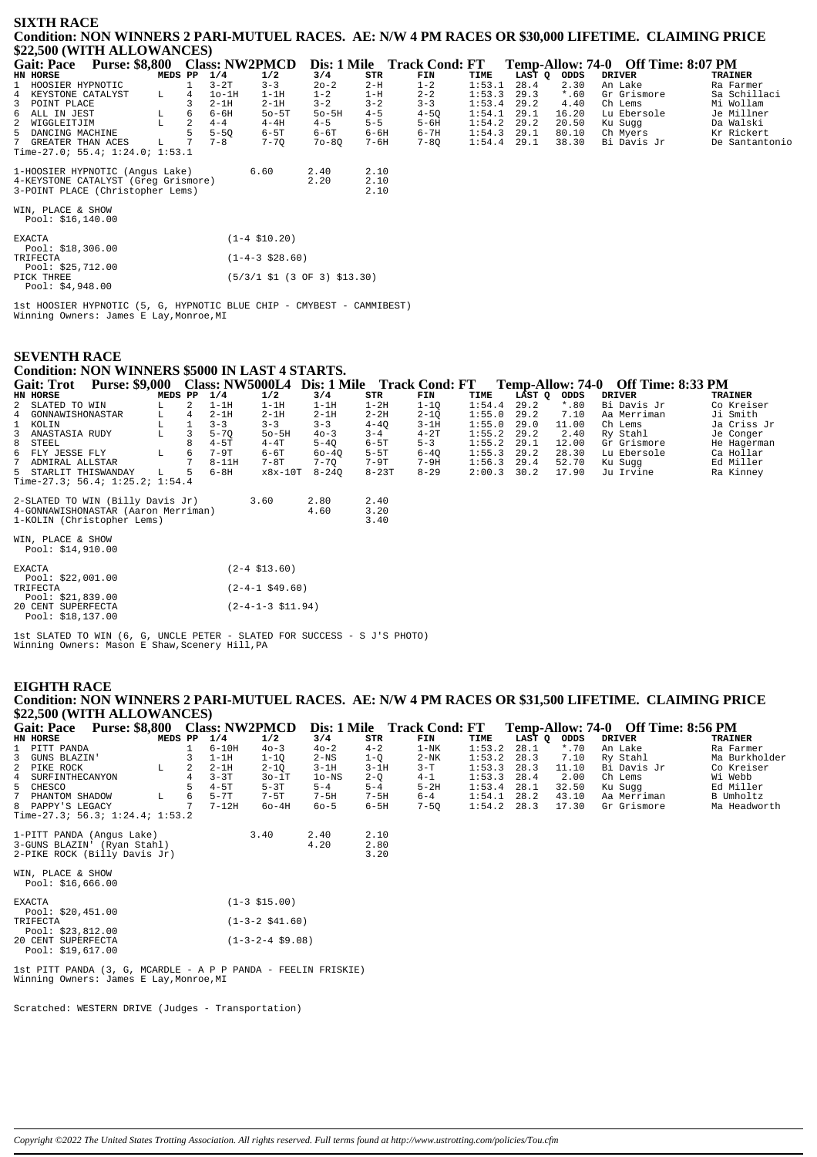#### **SIXTH RACE** Condition: NON WINNERS 2 PARI-MUTUEL RACES. AE: N/W 4 PM RACES OR \$30,000 LIFETIME. CLAIMING PRICE \$22,500 (WITH ALLOWANCES)

| <b>Gait: Pace</b>                   | <b>Purse: \$8,800</b> |         |   |          | <b>Class: NW2PMCD</b>                                                     |           |         | Dis: 1 Mile Track Cond: FT |        |        |         | Temp-Allow: 74-0 Off Time: 8:07 PM |                |
|-------------------------------------|-----------------------|---------|---|----------|---------------------------------------------------------------------------|-----------|---------|----------------------------|--------|--------|---------|------------------------------------|----------------|
| HN HORSE                            |                       | MEDS PP |   | 1/4      | 1/2                                                                       | 3/4       | STR     | FIN                        | TIME   | LAST O | ODDS    | <b>DRIVER</b>                      | <b>TRAINER</b> |
| 1 HOOSIER HYPNOTIC                  |                       |         |   | $3-2T$   | $3 - 3$                                                                   | $20 - 2$  | $2-H$   | $1 - 2$                    | 1:53.1 | 28.4   | 2.30    | An Lake                            | Ra Farmer      |
| 4 KEYSTONE CATALYST                 |                       | L.      | 4 | $10-1H$  | $1-1H$                                                                    | $1 - 2$   | 1-H     | $2 - 2$                    | 1:53.3 | 29.3   | $*$ .60 | Gr Grismore                        | Sa Schillaci   |
| 3 POINT PLACE                       |                       |         |   | $2-1H$   | $2-1H$                                                                    | $3 - 2$   | $3 - 2$ | $3 - 3$                    | 1:53.4 | 29.2   | 4.40    | Ch Lems                            | Mi Wollam      |
| 6 ALL IN JEST                       |                       | L<br>L  | 6 | $6 - 6H$ | $50 - 5T$                                                                 | $50 - 5H$ | $4 - 5$ | $4 - 50$                   | 1:54.1 | 29.1   | 16.20   | Lu Ebersole                        | Je Millner     |
| 2 WIGGLEITJIM                       |                       |         |   | $4 - 4$  | $4-4H$                                                                    | $4 - 5$   | $5 - 5$ | $5 - 6H$                   | 1:54.2 | 29.2   | 20.50   | Ku Sugg                            | Da Walski      |
| 5 DANCING MACHINE                   |                       |         |   | $5 - 50$ | $6-5T$                                                                    | $6-6T$    | 6-6H    | $6 - 7H$                   | 1:54.3 | 29.1   | 80.10   | Ch Myers                           | Kr Rickert     |
| 7 GREATER THAN ACES                 |                       | L       |   | $7 - 8$  | $7 - 70$                                                                  | $70 - 80$ | 7-6H    | $7 - 8Q$                   | 1:54.4 | 29.1   | 38.30   | Bi Davis Jr                        | De Santantonio |
| Time-27.0; 55.4; 1:24.0; 1:53.1     |                       |         |   |          |                                                                           |           |         |                            |        |        |         |                                    |                |
| 1-HOOSIER HYPNOTIC (Angus Lake)     |                       |         |   |          | 6.60                                                                      | 2.40      | 2.10    |                            |        |        |         |                                    |                |
| 4-KEYSTONE CATALYST (Greq Grismore) |                       |         |   |          |                                                                           | 2.20      | 2.10    |                            |        |        |         |                                    |                |
| 3-POINT PLACE (Christopher Lems)    |                       |         |   |          |                                                                           |           | 2.10    |                            |        |        |         |                                    |                |
| WIN, PLACE & SHOW                   |                       |         |   |          |                                                                           |           |         |                            |        |        |         |                                    |                |
| Pool: \$16,140.00                   |                       |         |   |          |                                                                           |           |         |                            |        |        |         |                                    |                |
| EXACTA                              |                       |         |   |          | $(1-4 \; \text{$}10.20)$                                                  |           |         |                            |        |        |         |                                    |                |
| Pool: \$18,306.00                   |                       |         |   |          |                                                                           |           |         |                            |        |        |         |                                    |                |
| TRIFECTA                            |                       |         |   |          | $(1-4-3 \; $28.60)$                                                       |           |         |                            |        |        |         |                                    |                |
| Pool: \$25,712.00                   |                       |         |   |          |                                                                           |           |         |                            |        |        |         |                                    |                |
| PICK THREE                          |                       |         |   |          | $(5/3/1 \text{ } 51 \text{ } (3 \text{ } 0F \text{ } 3) \text{ } $13.30)$ |           |         |                            |        |        |         |                                    |                |
|                                     |                       |         |   |          |                                                                           |           |         |                            |        |        |         |                                    |                |

Pool: \$4,948.00

1st HOOSIER HYPNOTIC (5, G, HYPNOTIC BLUE CHIP - CMYBEST - CAMMIBEST)<br>Winning Owners: James E Lay, Monroe, MI

#### **SEVENTH RACE**

Condition: NON WINNERS \$5000 IN LAST 4 STARTS.<br>Gait: Trot Purse: \$9,000 Class: NW5000L4 Dis: 1 Mile Track Cond: FT Temp-Allow: 74-0 Off Time: 8:33 PM

| HN HORSE                        | MEDS PP |    | 1/4      | 1/2       | 3/4       | STR       | FIN      | TIME          | LAST O | ODDS    | DRIVER      | TRAINER     |
|---------------------------------|---------|----|----------|-----------|-----------|-----------|----------|---------------|--------|---------|-------------|-------------|
| 2 SLATED TO WIN                 | L       |    | $1-1H$   | 1-1H      | 1-1H      | 1-2H      | $1 - 10$ | 1:54.4        | 29.2   | $*$ .80 | Bi Davis Jr | Co Kreiser  |
| 4 GONNAWISHONASTAR              | L       | 4  | $2-1H$   | $2-1H$    | $2-1H$    | $2 - 2H$  | $2 - 10$ | $1:55.0$ 29.2 |        | 7.10    | Aa Merriman | Ji Smith    |
| 1 KOLIN                         |         |    | $3 - 3$  | $3 - 3$   | $3 - 3$   | $4 - 40$  | $3-1H$   | $1:55.0$ 29.0 |        | 11.00   | Ch Lems     | Ja Criss Jr |
| 3 ANASTASIA RUDY                | L.      |    | $5 - 70$ | $50 - 5H$ | $40 - 3$  | $3 - 4$   | $4-2T$   | $1:55.2$ 29.2 |        | 2.40    | Ry Stahl    | Je Conqer   |
| 8 STEEL                         |         | 8  | $4-5T$   | $4-4T$    | $5 - 40$  | $6-5T$    | $5 - 3$  | $1:55.2$ 29.1 |        | 12.00   | Gr Grismore | He Hagerman |
| 6 FLY JESSE FLY                 |         |    | $7 - 9T$ | $6 - 6T$  | $60 - 40$ | $5-5T$    | $6 - 40$ | 1:55.3        | 29.2   | 28.30   | Lu Ebersole | Ca Hollar   |
| 7 ADMIRAL ALLSTAR               |         |    | $8-11H$  | $7-8T$    | $7 - 70$  | $7-9T$    | $7 - 9H$ | $1:56.3$ 29.4 |        | 52.70   | Ku Suqq     | Ed Miller   |
| 5 STARLIT THISWANDAY            | L       | .5 | $6 - 8H$ | x8x-10T   | $8 - 240$ | $8 - 23T$ | $8 - 29$ | $2:00.3$ 30.2 |        | 17.90   | Ju Irvine   | Ra Kinney   |
| Time-27.3; 56.4; 1:25.2; 1:54.4 |         |    |          |           |           |           |          |               |        |         |             |             |

| 2-SLATED TO WIN (Billy Davis Jr)<br>4-GONNAWISHONASTAR (Aaron Merriman)<br>1-KOLIN (Christopher Lems) | 3.60 | 2.80<br>4.60 | 2.40<br>3.20<br>3.40 |
|-------------------------------------------------------------------------------------------------------|------|--------------|----------------------|
| WIN, PLACE & SHOW<br>Pool: \$14,910.00                                                                |      |              |                      |

| <b>EXACTA</b>      | $(2 - 4 \ $13.60)$         |
|--------------------|----------------------------|
| Pool: $$22.001.00$ |                            |
| TRIFECTA           | $(2-4-1$ \$49.60)          |
| Pool: \$21,839.00  |                            |
| 20 CENT SUPERFECTA | $(2-4-1-3 \text{ }511.94)$ |
| Pool: \$18,137.00  |                            |

 ${\tt lat}$  SLATED TO WIN (6, G, UNCLE PETER - SLATED FOR SUCCESS - S J'S PHOTO) Winning Owners: Mason E Shaw, Scenery Hill, PA

#### **EIGHTH RACE** Condition: NON WINNERS 2 PARI-MUTUEL RACES. AE: N/W 4 PM RACES OR \$31,500 LIFETIME. CLAIMING PRICE \$22,500 (WITH ALLOWANCES) **NIVADMCD** Dig 1 Mila Track Cond. ET  $T_{\text{const}}$  Allema  $74.0$  Off Times  $9.56$  DM

| Gail: Pace<br>PULSE: 30,000 Class: INVERVICD |         |   |          |                     | DIS: 1 MIIE |         | TLACK COUGE L |        |        |         | Temp-Allow: 74-0 UIL THE: 8:50 PM |                |
|----------------------------------------------|---------|---|----------|---------------------|-------------|---------|---------------|--------|--------|---------|-----------------------------------|----------------|
| HN HORSE                                     | MEDS PP |   | 1/4      | 1/2                 | 3/4         | STR     | FIN           | TIME   | LAST Q | ODDS    | DRIVER                            | <b>TRAINER</b> |
| 1 PITT PANDA                                 |         |   | $6-10H$  | $40 - 3$            | $40 - 2$    | $4 - 2$ | $1-NK$        | 1:53.2 | 28.1   | $*$ .70 | An Lake                           | Ra Farmer      |
| $\overline{3}$<br>GUNS BLAZIN'               |         |   | $1-1H$   | $1 - 10$            | $2-NS$      | $1 - O$ | $2-NK$        | 1:53.2 | 28.3   | 7.10    | Ry Stahl                          | Ma Burkholder  |
| 2 PIKE ROCK<br>L                             |         | 2 | $2 - 1H$ | $2 - 1Q$            | $3 - 1H$    | $3-1H$  | $3-T$         | 1:53.3 | 28.3   | 11.10   | Bi Davis Jr                       | Co Kreiser     |
| SURFINTHECANYON<br>4                         |         |   | $3 - 3T$ | $30-1T$             | $1o-NS$     | $2 - 0$ | $4 - 1$       | 1:53.3 | 28.4   | 2.00    | Ch Lems                           | Wi Webb        |
| 5 CHESCO                                     |         |   | $4-5T$   | $5-3T$              | $5 - 4$     | $5 - 4$ | $5-2H$        | 1:53.4 | 28.1   | 32.50   | Ku Sugg                           | Ed Miller      |
| $7\overline{ }$<br>PHANTOM SHADOW<br>L       |         | 6 | $5 - 7T$ | $7 - 5T$            | $7-5H$      | $7-5H$  | $6 - 4$       | 1:54.1 | 28.2   | 43.10   | Aa Merriman                       | B Umholtz      |
| 8 PAPPY'S LEGACY                             |         |   | $7-12H$  | $60-4H$             | $60 - 5$    | $6-5H$  | $7 - 5Q$      | 1:54.2 | 28.3   | 17.30   | Gr Grismore                       | Ma Headworth   |
| Time-27.3; $56.3; 1:24.4; 1:53.2$            |         |   |          |                     |             |         |               |        |        |         |                                   |                |
| 1-PITT PANDA (Angus Lake)                    |         |   |          | 3.40                | 2.40        | 2.10    |               |        |        |         |                                   |                |
| 3-GUNS BLAZIN' (Ryan Stahl)                  |         |   |          |                     | 4.20        | 2.80    |               |        |        |         |                                   |                |
| 2-PIKE ROCK (Billy Davis Jr)                 |         |   |          |                     |             | 3.20    |               |        |        |         |                                   |                |
|                                              |         |   |          |                     |             |         |               |        |        |         |                                   |                |
| WIN, PLACE & SHOW                            |         |   |          |                     |             |         |               |        |        |         |                                   |                |
| Pool: $$16,666.00$                           |         |   |          |                     |             |         |               |        |        |         |                                   |                |
| <b>EXACTA</b>                                |         |   |          | $(1-3 \; $15.00)$   |             |         |               |        |        |         |                                   |                |
| Pool: \$20,451.00                            |         |   |          |                     |             |         |               |        |        |         |                                   |                |
| TRIFECTA                                     |         |   |          | $(1-3-2 \ $41.60)$  |             |         |               |        |        |         |                                   |                |
| Pool: $$23,812.00$                           |         |   |          |                     |             |         |               |        |        |         |                                   |                |
| 20 CENT SUPERFECTA                           |         |   |          | $(1-3-2-4 \ $9.08)$ |             |         |               |        |        |         |                                   |                |
| Pool: $$19,617.00$                           |         |   |          |                     |             |         |               |        |        |         |                                   |                |
|                                              |         |   |          |                     |             |         |               |        |        |         |                                   |                |

1st PITT PANDA (3, G, MCARDLE - A P P PANDA - FEELIN FRISKIE) Winning Owners: James E Lay, Monroe, MI

Scratched: WESTERN DRIVE (Judges - Transportation)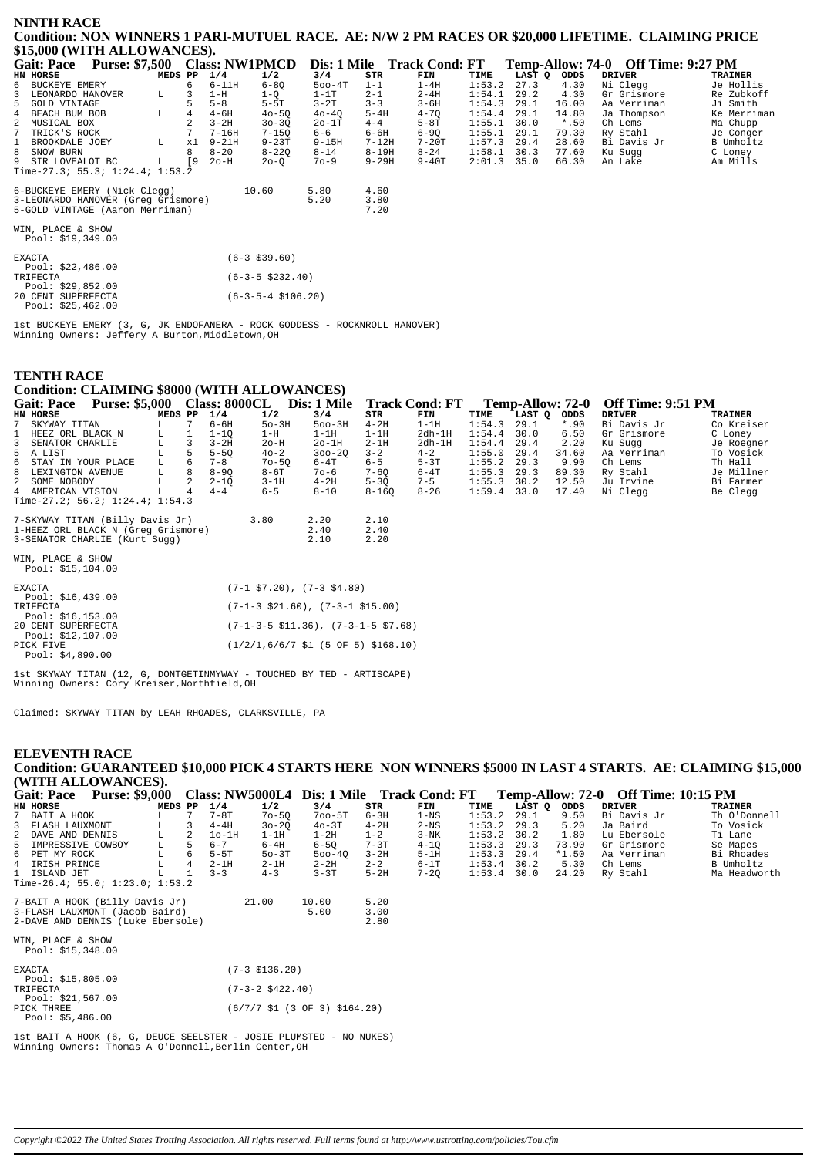#### **NINTH RACE** Condition: NON WINNERS 1 PARI-MUTUEL RACE. AE: N/W 2 PM RACES OR \$20,000 LIFETIME. CLAIMING PRICE \$15,000 (WITH ALLOWANCES).

| <b>Gait: Pace</b>                        | Purse: \$7,500 Class: NW1PMCD Dis: 1 Mile Track Cond: FT |         |                |           |                       |            |          |          |        |        |         |               | Temp-Allow: 74-0 Off Time: 9:27 PM |
|------------------------------------------|----------------------------------------------------------|---------|----------------|-----------|-----------------------|------------|----------|----------|--------|--------|---------|---------------|------------------------------------|
| HN HORSE                                 |                                                          | MEDS PP |                | 1/4       | 1/2                   | 3/4        | STR      | FIN      | TIME   | LAST Q | ODDS    | <b>DRIVER</b> | <b>TRAINER</b>                     |
| 6 BUCKEYE EMERY                          |                                                          |         | 6              | $6-11H$   | $6 - 80$              | $500 - 4T$ | $1 - 1$  | $1-4H$   | 1:53.2 | 27.3   | 4.30    | Ni Clegg      | Je Hollis                          |
| $\overline{3}$<br>LEONARDO HANOVER       |                                                          | L       | 3              | $1-H$     | $1 - Q$               | $1-1T$     | $2 - 1$  | $2 - 4H$ | 1:54.1 | 29.2   | 4.30    | Gr Grismore   | Re Zubkoff                         |
| 5 GOLD VINTAGE                           |                                                          |         | 5              | $5 - 8$   | $5-5T$                | $3-2T$     | $3 - 3$  | $3 - 6H$ | 1:54.3 | 29.1   | 16.00   | Aa Merriman   | Ji Smith                           |
| 4 BEACH BUM BOB                          |                                                          | L       | 4              | $4 - 6H$  | $40 - 50$             | $40 - 40$  | $5 - 4H$ | $4 - 70$ | 1:54.4 | 29.1   | 14.80   | Ja Thompson   | Ke Merriman                        |
| $\overline{a}$<br>MUSICAL BOX            |                                                          |         | $\mathfrak{D}$ | $3-2H$    | $30 - 3Q$             | $2o-1T$    | $4 - 4$  | $5-8T$   | 1:55.1 | 30.0   | $*$ .50 | Ch Lems       | Ma Chupp                           |
| 7 TRICK'S ROCK                           |                                                          |         |                | $7 - 16H$ | $7 - 15Q$             | 6-6        | 6-6H     | $6 - 9Q$ | 1:55.1 | 29.1   | 79.30   | Ry Stahl      | Je Conger                          |
| $\mathbf{1}$<br>BROOKDALE JOEY           |                                                          | L       | x1             | $9 - 21H$ | $9 - 23T$             | $9 - 15H$  | $7-12H$  | $7-20T$  | 1:57.3 | 29.4   | 28.60   | Bi Davis Jr   | B Umholtz                          |
| 8 SNOW BURN                              |                                                          |         | 8              | $8 - 20$  | $8 - 22Q$             | $8 - 14$   | $8-19H$  | $8 - 24$ | 1:58.1 | 30.3   | 77.60   | Ku Sugg       | C Loney                            |
| 9 SIR LOVEALOT BC                        |                                                          | L.      | <b>19</b>      | $2o-H$    | $20 - 0$              | $70 - 9$   | 9-29H    | $9-40T$  | 2:01.3 | 35.0   | 66.30   | An Lake       | Am Mills                           |
|                                          | Time-27.3; 55.3; $1:24.4$ ; $1:53.2$                     |         |                |           |                       |            |          |          |        |        |         |               |                                    |
|                                          | 6-BUCKEYE EMERY (Nick Clegg)                             |         |                |           | 10.60                 | 5.80       | 4.60     |          |        |        |         |               |                                    |
|                                          | 3-LEONARDO HANOVER (Greg Grismore)                       |         |                |           |                       | 5.20       | 3.80     |          |        |        |         |               |                                    |
|                                          | 5-GOLD VINTAGE (Aaron Merriman)                          |         |                |           |                       |            | 7.20     |          |        |        |         |               |                                    |
| WIN, PLACE & SHOW<br>Pool: \$19,349.00   |                                                          |         |                |           |                       |            |          |          |        |        |         |               |                                    |
| <b>EXACTA</b><br>Pool: \$22,486.00       |                                                          |         |                |           | $(6-3$ \$39.60)       |            |          |          |        |        |         |               |                                    |
| TRIFECTA<br>Pool: $$29,852.00$           |                                                          |         |                |           | $(6-3-5 \ $232.40)$   |            |          |          |        |        |         |               |                                    |
| 20 CENT SUPERFECTA<br>Pool: $$25,462.00$ |                                                          |         |                |           | $(6-3-5-4 \ $106.20)$ |            |          |          |        |        |         |               |                                    |

lst BUCKEYE EMERY (3, G, JK ENDOFANERA - ROCK GODDESS - ROCKNROLL HANOVER)<br>Winning Owners: Jeffery A Burton,Middletown,OH

| <b>TENTH RACE</b><br><b>Condition: CLAIMING \$8000 (WITH ALLOWANCES)</b>                                                                 |                                                                       |                                       |                    |                    |                                             |                    |                       |                  |              |                  |                        |                      |
|------------------------------------------------------------------------------------------------------------------------------------------|-----------------------------------------------------------------------|---------------------------------------|--------------------|--------------------|---------------------------------------------|--------------------|-----------------------|------------------|--------------|------------------|------------------------|----------------------|
| <b>Purse: \$5,000 Class: 8000CL Dis: 1 Mile</b><br><b>Gait: Pace</b>                                                                     |                                                                       |                                       |                    |                    |                                             |                    | <b>Track Cond: FT</b> |                  |              | Temp-Allow: 72-0 | Off Time: 9:51 PM      |                      |
| HN HORSE                                                                                                                                 | MEDS PP                                                               |                                       | 1/4                | 1/2                | 3/4                                         | STR                | FIN                   | TIME             | LAST Q       | ODDS             | <b>DRIVER</b>          | <b>TRAINER</b>       |
| SKYWAY TITAN                                                                                                                             | L                                                                     | 7                                     | $6-6H$             | $50-3H$            | $500 - 3H$                                  | $4 - 2H$           | $1-1H$                | 1:54.3           | 29.1         | $*$ .90          | Bi Davis Jr            | Co Kreiser           |
| HEEZ ORL BLACK N                                                                                                                         | L                                                                     | $\mathbf{1}$<br>$\overline{3}$        | $1 - 10$<br>$3-2H$ | $1-H$              | $1-1H$<br>$2o-1H$                           | $1-1H$<br>$2 - 1H$ | $2dh-1H$<br>$2dh-1H$  | 1:54.4           | 30.0         | 6.50             | Gr Grismore            | C Loney              |
| SENATOR CHARLIE<br>3<br>5<br>A LIST                                                                                                      | $\begin{array}{c} \mathtt{L} \\ \mathtt{L} \\ \mathtt{L} \end{array}$ |                                       | $5 - 50$           | $2o-H$<br>$40 - 2$ | $300 - 20$                                  | $3 - 2$            | $4 - 2$               | 1:54.4           | 29.4<br>29.4 | 2.20             | Ku Sugg                | Je Roegner           |
| 6<br>STAY IN YOUR PLACE                                                                                                                  |                                                                       | $\begin{array}{c} 5 \\ 6 \end{array}$ | $7 - 8$            | $70 - 50$          | $6-4T$                                      | $6 - 5$            | $5-3T$                | 1:55.0<br>1:55.2 | 29.3         | 34.60<br>9.90    | Aa Merriman<br>Ch Lems | To Vosick<br>Th Hall |
| LEXINGTON AVENUE<br>8                                                                                                                    | L                                                                     | 8                                     | $8 - 90$           | $8-6T$             | $70 - 6$                                    | $7 - 60$           | $6 - 4T$              | 1:55.3           | 29.3         | 89.30            | Ry Stahl               | Je Millner           |
| 2<br>SOME NOBODY                                                                                                                         |                                                                       |                                       | $2 - 10$           | $3-1H$             | $4-2H$                                      | $5 - 30$           | $7 - 5$               | $1:55.3$ 30.2    |              | 12.50            | Ju Irvine              | Bi Farmer            |
| 4 AMERICAN VISION                                                                                                                        |                                                                       | $\overline{4}$                        | $4 - 4$            | $6 - 5$            | $8 - 10$                                    | $8 - 160$          | $8 - 26$              | $1:59.4$ 33.0    |              | 17.40            | Ni Clegg               | Be Clegg             |
| Time-27.2; $56.2; 1:24.4; 1:54.3$                                                                                                        |                                                                       |                                       |                    |                    |                                             |                    |                       |                  |              |                  |                        |                      |
|                                                                                                                                          |                                                                       |                                       |                    |                    |                                             |                    |                       |                  |              |                  |                        |                      |
| 7-SKYWAY TITAN (Billy Davis Jr)                                                                                                          |                                                                       |                                       |                    | 3.80               | 2.20                                        | 2.10               |                       |                  |              |                  |                        |                      |
| 1-HEEZ ORL BLACK N (Greg Grismore)                                                                                                       |                                                                       |                                       |                    |                    | 2.40                                        | 2.40               |                       |                  |              |                  |                        |                      |
| 3-SENATOR CHARLIE (Kurt Sugg)                                                                                                            |                                                                       |                                       |                    |                    | 2.10                                        | 2.20               |                       |                  |              |                  |                        |                      |
| WIN, PLACE & SHOW<br>Pool: \$15,104.00                                                                                                   |                                                                       |                                       |                    |                    |                                             |                    |                       |                  |              |                  |                        |                      |
| <b>EXACTA</b>                                                                                                                            |                                                                       |                                       |                    |                    | $(7-1 \space $7.20)$ , $(7-3 \space $4.80)$ |                    |                       |                  |              |                  |                        |                      |
| Pool: $$16,439.00$<br>$(7-1-3 \; $21.60)$ , $(7-3-1 \; $15.00)$<br>TRIFECTA                                                              |                                                                       |                                       |                    |                    |                                             |                    |                       |                  |              |                  |                        |                      |
| Pool: \$16,153.00<br>20 CENT SUPERFECTA<br>$(7-1-3-5 \text{ } $11.36)$ , $(7-3-1-5 \text{ } $7.68)$                                      |                                                                       |                                       |                    |                    |                                             |                    |                       |                  |              |                  |                        |                      |
| Pool: $$12,107.00$<br>$(1/2/1, 6/6/7 \text{ } $1 \text{ } (5 \text{ } 0F \text{ } 5) \text{ } $168.10)$<br>PICK FIVE<br>Pool: \$4,890.00 |                                                                       |                                       |                    |                    |                                             |                    |                       |                  |              |                  |                        |                      |
| 1st SKYWAY TITAN (12. G. DONTGETINMYWAY - TOUCHED BY TED - ARTISCAPE)                                                                    |                                                                       |                                       |                    |                    |                                             |                    |                       |                  |              |                  |                        |                      |

 $1st$  SKYWAY TITAN  $(12\, ,\, G\, ,\,$  DONTGETINMYWAY – TOUCHED BY TED – ARTISCAPE) Winning Owners: Cory Kreiser, Northfield, OH

Claimed: SKYWAY TITAN by LEAH RHOADES, CLARKSVILLE, PA

| <b>ELEVENTH RACE</b><br>Condition: GUARANTEED \$10,000 PICK 4 STARTS HERE NON WINNERS \$5000 IN LAST 4 STARTS. AE: CLAIMING \$15,000<br>(WITH ALLOWANCES).<br><b>Gait: Pace</b><br>Purse: \$9,000 Class: NW5000L4 Dis: 1 Mile Track Cond: FT |             |                                    |                                                                       |                                                                            |                                                                                   |                                                                              |                                                                        |                                                                           |                                              |                                                           | Temp-Allow: 72-0 Off Time: 10:15 PM                                                         |                                                                                                    |
|----------------------------------------------------------------------------------------------------------------------------------------------------------------------------------------------------------------------------------------------|-------------|------------------------------------|-----------------------------------------------------------------------|----------------------------------------------------------------------------|-----------------------------------------------------------------------------------|------------------------------------------------------------------------------|------------------------------------------------------------------------|---------------------------------------------------------------------------|----------------------------------------------|-----------------------------------------------------------|---------------------------------------------------------------------------------------------|----------------------------------------------------------------------------------------------------|
| HN HORSE                                                                                                                                                                                                                                     | MEDS PP     |                                    | 1/4<br>1/2                                                            |                                                                            | 3/4                                                                               | STR                                                                          | FIN                                                                    | TIME                                                                      | LAST O                                       | ODDS                                                      | <b>DRIVER</b>                                                                               | <b>TRAINER</b>                                                                                     |
| BAIT A HOOK<br>FLASH LAUXMONT<br>2<br>DAVE AND DENNIS<br>IMPRESSIVE COWBOY<br>6<br>PET MY ROCK<br>4<br>IRISH PRINCE<br>ISLAND JET<br>Time-26.4; 55.0; 1:23.0; 1:53.2                                                                         | L<br>г<br>L | 3<br>2<br>5<br>6<br>$\overline{4}$ | $7-8T$<br>$4-4H$<br>$10-1H$<br>$6 - 7$<br>$5-5T$<br>$2-1H$<br>$3 - 3$ | $70 - 50$<br>$30 - 20$<br>$1-1H$<br>$6-4H$<br>$50-3T$<br>$2-1H$<br>$4 - 3$ | $700 - 5T$<br>$40-3T$<br>$1-2H$<br>$6 - 50$<br>$500 - 40$<br>$2 - 2H$<br>$3 - 3T$ | $6 - 3H$<br>$4 - 2H$<br>$1 - 2$<br>$7 - 3T$<br>$3 - 2H$<br>$2 - 2$<br>$5-2H$ | $1-NS$<br>$2-NS$<br>$3-NK$<br>$4 - 10$<br>$5-1H$<br>$6-1T$<br>$7 - 20$ | 1:53.2<br>1:53.2<br>1:53.2<br>1:53.3<br>1:53.3<br>$1:53.4$ 30.2<br>1:53.4 | 29.1<br>29.3<br>30.2<br>29.3<br>29.4<br>30.0 | 9.50<br>5.20<br>1.80<br>73.90<br>$*1.50$<br>5.30<br>24.20 | Bi Davis Jr<br>Ja Baird<br>Lu Ebersole<br>Gr Grismore<br>Aa Merriman<br>Ch Lems<br>Ry Stahl | Th O'Donnell<br>To Vosick<br>Ti Lane<br>Se Mapes<br>Bi Rhoades<br><b>B</b> Umholtz<br>Ma Headworth |
| 7-BAIT A HOOK (Billy Davis Jr)<br>3-FLASH LAUXMONT (Jacob Baird)<br>2-DAVE AND DENNIS (Luke Ebersole)<br>WIN, PLACE & SHOW                                                                                                                   |             |                                    | 21.00                                                                 |                                                                            | 10.00<br>5.00                                                                     | 5.20<br>3.00<br>2.80                                                         |                                                                        |                                                                           |                                              |                                                           |                                                                                             |                                                                                                    |
| Pool: $$15,348.00$                                                                                                                                                                                                                           |             |                                    |                                                                       |                                                                            |                                                                                   |                                                                              |                                                                        |                                                                           |                                              |                                                           |                                                                                             |                                                                                                    |
| <b>EXACTA</b><br>Pool: $$15,805.00$                                                                                                                                                                                                          |             |                                    | $(7-3 \; $136.20)$                                                    |                                                                            |                                                                                   |                                                                              |                                                                        |                                                                           |                                              |                                                           |                                                                                             |                                                                                                    |
| TRIFECTA<br>Pool: $$21,567.00$                                                                                                                                                                                                               |             |                                    | $(7-3-2$ \$422.40)                                                    |                                                                            |                                                                                   |                                                                              |                                                                        |                                                                           |                                              |                                                           |                                                                                             |                                                                                                    |
| PICK THREE<br>Pool: $$5,486.00$                                                                                                                                                                                                              |             |                                    |                                                                       |                                                                            | $(6/7/7 \text{ } SL(3 \text{ } OF 3) \text{ } SL(4.20))$                          |                                                                              |                                                                        |                                                                           |                                              |                                                           |                                                                                             |                                                                                                    |
| 1st BAIT A HOOK (6, G, DEUCE SEELSTER - JOSIE PLUMSTED - NO NUKES)<br>Winning Owners: Thomas A O'Donnell, Berlin Center, OH                                                                                                                  |             |                                    |                                                                       |                                                                            |                                                                                   |                                                                              |                                                                        |                                                                           |                                              |                                                           |                                                                                             |                                                                                                    |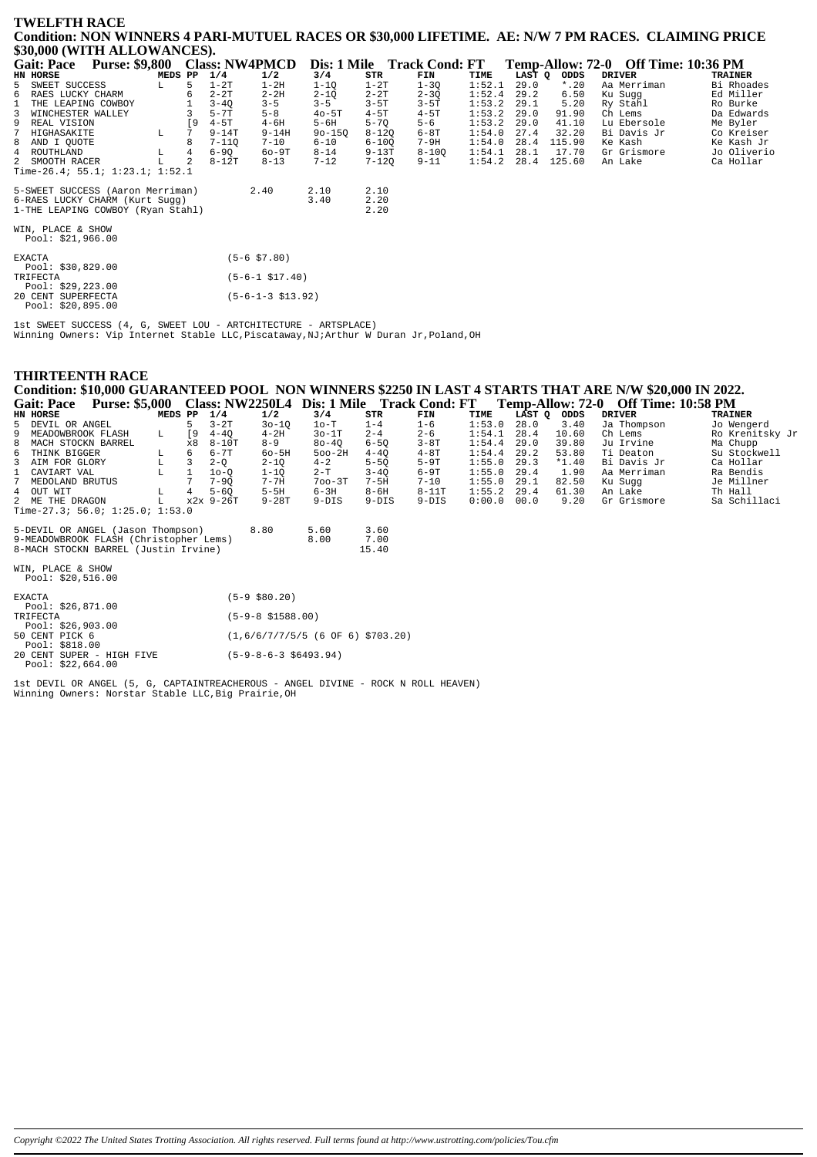#### **TWELFTH RACE** Condition: NON WINNERS 4 PARI-MUTUEL RACES OR \$30,000 LIFETIME. AE: N/W 7 PM RACES. CLAIMING PRICE \$30,000 (WITH ALLOWANCES).

| <b>Gait: Pace</b>                        | Purse: \$9,800 Class: NW4PMCD |           |           |                      |            |           | Dis: 1 Mile Track Cond: FT |        |        |             | Temp-Allow: 72-0 Off Time: 10:36 PM |                |
|------------------------------------------|-------------------------------|-----------|-----------|----------------------|------------|-----------|----------------------------|--------|--------|-------------|-------------------------------------|----------------|
| HN HORSE                                 |                               | MEDS PP   | 1/4       | 1/2                  | 3/4        | STR       | FIN                        | TIME   | LAST Q | ODDS        | <b>DRIVER</b>                       | <b>TRAINER</b> |
| 5 SWEET SUCCESS                          | L                             | 5         | $1-2T$    | $1-2H$               | $1 - 10$   | $1-2T$    | $1 - 30$                   | 1:52.1 | 29.0   | $*$ .20     | Aa Merriman                         | Bi Rhoades     |
| 6 RAES LUCKY CHARM                       |                               |           | $2 - 2T$  | $2 - 2H$             | $2 - 1Q$   | $2 - 2T$  | $2 - 3Q$                   | 1:52.4 | 29.2   | 6.50        | Ku Sugg                             | Ed Miller      |
| $\mathbf{1}$<br>THE LEAPING COWBOY       |                               |           | $3 - 40$  | $3 - 5$              | $3 - 5$    | $3-5T$    | $3-5T$                     | 1:53.2 | 29.1   | 5.20        | Ry Stahl                            | Ro Burke       |
| 3 WINCHESTER WALLEY                      |                               |           | $5 - 7T$  | $5 - 8$              | $40-5T$    | $4-5T$    | $4-5T$                     | 1:53.2 | 29.0   | 91.90       | Ch Lems                             | Da Edwards     |
| 9 REAL VISION                            |                               | <b>19</b> | $4-5T$    | $4 - 6H$             | 5-6H       | $5 - 70$  | $5 - 6$                    | 1:53.2 | 29.0   | 41.10       | Lu Ebersole                         | Me Byler       |
| $7^{\circ}$<br>HIGHASAKITE               | L.                            |           | $9 - 14T$ | $9 - 14H$            | $90 - 150$ | $8 - 120$ | $6-8T$                     | 1:54.0 | 27.4   | 32.20       | Bi Davis Jr                         | Co Kreiser     |
| 8 AND I OUOTE                            |                               |           | $7 - 110$ | $7 - 10$             | $6 - 10$   | $6 - 100$ | 7-9H                       | 1:54.0 | 28.4   | 115.90      | Ke Kash                             | Ke Kash Jr     |
| 4 ROUTHLAND                              | L                             |           | $6 - 90$  | $60-9T$              | $8 - 14$   | 9-13T     | $8 - 100$                  | 1:54.1 | 28.1   | 17.70       | Gr Grismore                         | Jo Oliverio    |
| 2 SMOOTH RACER                           | L                             | 2         | $8-12T$   | $8 - 13$             | $7 - 12$   | 7-120     | $9 - 11$                   | 1:54.2 |        | 28.4 125.60 | An Lake                             | Ca Hollar      |
| Time-26.4; 55.1; $1:23.1$ ; $1:52.1$     |                               |           |           |                      |            |           |                            |        |        |             |                                     |                |
| 5-SWEET SUCCESS (Aaron Merriman)         |                               |           |           | 2.40                 | 2.10       | 2.10      |                            |        |        |             |                                     |                |
| 6-RAES LUCKY CHARM (Kurt Sugg)           |                               |           |           |                      | 3.40       | 2.20      |                            |        |        |             |                                     |                |
| 1-THE LEAPING COWBOY (Ryan Stahl)        |                               |           |           |                      |            | 2.20      |                            |        |        |             |                                     |                |
| WIN, PLACE & SHOW<br>Pool: $$21,966.00$  |                               |           |           |                      |            |           |                            |        |        |             |                                     |                |
| <b>EXACTA</b><br>Pool: \$30,829.00       |                               |           |           | $(5-6 \; $7.80)$     |            |           |                            |        |        |             |                                     |                |
| TRIFECTA<br>Pool: $$29,223.00$           |                               |           |           | $(5-6-1$ \$17.40)    |            |           |                            |        |        |             |                                     |                |
| 20 CENT SUPERFECTA<br>Pool: $$20,895.00$ |                               |           |           | $(5-6-1-3 \ $13.92)$ |            |           |                            |        |        |             |                                     |                |

lst SWEET SUCCESS (4, G, SWEET LOU - ARTCHITECTURE - ARTSPLACE)<br>Winning Owners: Vip Internet Stable LLC,Piscataway,NJ;Arthur W Duran Jr,Poland,OH

### **THIRTEENTH RACE**

Condition: \$10,000 GUARANTEED POOL NON WINNERS \$2250 IN LAST 4 STARTS THAT ARE N/W \$20,000 IN 2022.<br>Gait: Pace Purse: \$5,000 Class: NW2250L4 Dis: 1 Mile Track Cond: FT Temp-Allow: 72-0 Off Time: 10:58 PM

| Gail. I acc<br>$\blacksquare$ ulst. ov.vvv |         |     |           |           |            |          | Class. IVIV 2230L+ DIS. I FINE THACK CONG. FT |               |        |         | $1 \text{cm}$ |                 |
|--------------------------------------------|---------|-----|-----------|-----------|------------|----------|-----------------------------------------------|---------------|--------|---------|---------------|-----------------|
| HN HORSE                                   | MEDS PP |     | 1/4       | 1/2       | 3/4        | STR      | FIN                                           | TIME          | LAST Q | ODDS    | DRIVER        | TRAINER         |
| 5 DEVIL OR ANGEL                           |         |     | $3-2T$    | $30 - 10$ | $1o-T$     | $1 - 4$  | $1 - 6$                                       | 1:53.0        | 28.0   | 3.40    | Ja Thompson   | Jo Wengerd      |
| 9 MEADOWBROOK FLASH                        | L       | 19. | $4 - 40$  | 4-2H      | $30-1T$    | $2 - 4$  | $2 - 6$                                       | 1:54.1        | 28.4   | 10.60   | Ch Lems       | Ro Krenitsky Jr |
| 8 MACH STOCKN BARREL                       |         | x8  | $8-10T$   | $8 - 9$   | $80 - 40$  | $6 - 50$ | $3 - 8T$                                      | $1:54.4$ 29.0 |        | 39.80   | Ju Irvine     | Ma Chupp        |
| 6 THINK BIGGER                             | т.      | 6.  | 6-7T      | $60 - 5H$ | $500-2H$   | $4 - 40$ | $4-8T$                                        | $1:54.4$ 29.2 |        | 53.80   | Ti Deaton     | Su Stockwell    |
| 3 AIM FOR GLORY                            | L       |     | $2 - 0$   | $2 - 10$  | $4 - 2$    | $5 - 50$ | $5-9T$                                        | 1:55.0        | 29.3   | $*1.40$ | Bi Davis Jr   | Ca Hollar       |
| 1 CAVIART VAL                              |         |     | 10-0      | $1 - 10$  | $2-T$      | $3 - 40$ | 6-9T                                          | 1:55.0        | 29.4   | 1.90    | Aa Merriman   | Ra Bendis       |
| 7 MEDOLAND BRUTUS                          |         |     | $7 - 90$  | $7 - 7H$  | $700 - 3T$ | $7 - 5H$ | $7 - 10$                                      | 1:55.0        | 29.1   | 82.50   | Ku Suaa       | Je Millner      |
| 4 OUT WIT                                  |         | 4   | $5 - 60$  | $5-5H$    | $6-3H$     | 8-6H     | $8-11T$                                       | 1:55.2        | 29.4   | 61.30   | An Lake       | Th Hall         |
| 2 ME THE DRAGON                            |         |     | x2x 9-26T | $9 - 28T$ | $9-DIS$    | $9-DIS$  | $9-DIS$                                       | 0:00.0        | 00.0   | 9.20    | Gr Grismore   | Sa Schillaci    |
| Time-27.3; 56.0; 1:25.0; 1:53.0            |         |     |           |           |            |          |                                               |               |        |         |               |                 |

| 5-DEVIL OR ANGEL (Jason Thompson)      | 8.80 | 5.60 | 3.60  |
|----------------------------------------|------|------|-------|
| 9-MEADOWBROOK FLASH (Christopher Lems) |      | 8.00 | 7.00  |
| 8-MACH STOCKN BARREL (Justin Irvine)   |      |      | 15.40 |

WIN, PLACE & SHOW<br>Pool: \$20,516.00

| EXACTA                    | $(5-9$ \$80.20)                     |
|---------------------------|-------------------------------------|
| Pool: $$26,871.00$        |                                     |
| TRIFECTA                  | $(5-9-8 \; $1588.00)$               |
| Pool: $$26,903.00$        |                                     |
| 50 CENT PICK 6            | $(1,6/6/7/7/5/5$ (6 OF 6) \$703.20) |
| Pool: \$818.00            |                                     |
| 20 CENT SUPER - HIGH FIVE | $(5-9-8-6-3 \ $6493.94)$            |
| Pool: \$22.664.00         |                                     |

1st DEVIL OR ANGEL (5, G, CAPTAINTREACHEROUS - ANGEL DIVINE - ROCK N ROLL HEAVEN)<br>Winning Owners: Norstar Stable LLC, Big Prairie, OH